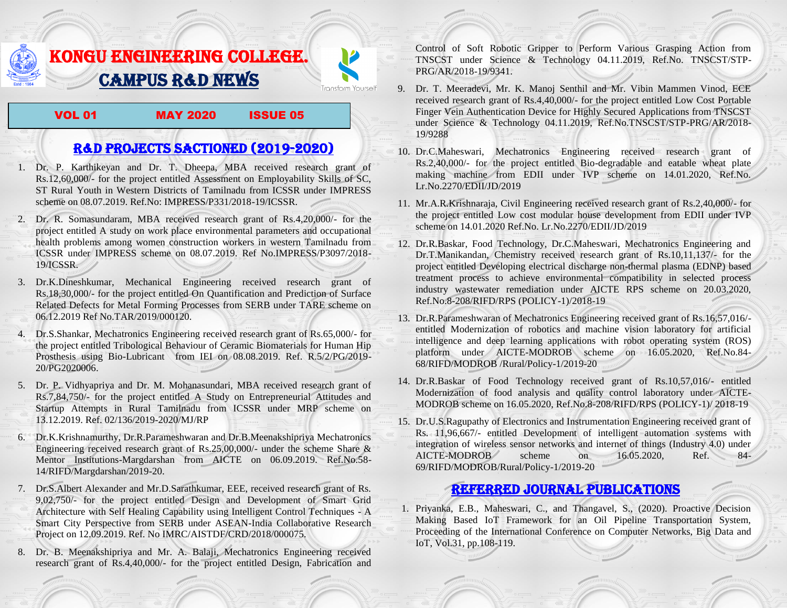## KONGU ENGINEERING COLLEGE. CAMPUS R&D NEWS

VOL 01 MAY 2020 ISSUE 05

Transform Yourself

## R&D PROJECTS SACTIONED (2019-2020)

- 1. Dr. P. Karthikeyan and Dr. T. Dheepa, MBA received research grant of Rs.12,60,000/- for the project entitled Assessment on Employability Skills of SC, ST Rural Youth in Western Districts of Tamilnadu from ICSSR under IMPRESS scheme on 08.07.2019. Ref.No: IMPRESS/P331/2018-19/ICSSR.
- 2. Dr. R. Somasundaram, MBA received research grant of Rs.4,20,000/- for the project entitled A study on work place environmental parameters and occupational health problems among women construction workers in western Tamilnadu from ICSSR under IMPRESS scheme on 08.07.2019. Ref No.IMPRESS/P3097/2018- 19/ICSSR.
- 3. Dr.K.Dineshkumar, Mechanical Engineering received research grant of Rs.18,30,000/- for the project entitled On Quantification and Prediction of Surface Related Defects for Metal Forming Processes from SERB under TARE scheme on 06.12.2019 Ref No.TAR/2019/000120.
- 4. Dr.S.Shankar, Mechatronics Engineering received research grant of Rs.65,000/- for the project entitled Tribological Behaviour of Ceramic Biomaterials for Human Hip Prosthesis using Bio-Lubricant from IEI on 08.08.2019. Ref. R.5/2/PG/2019- 20/PG2020006.
- 5. Dr. P. Vidhyapriya and Dr. M. Mohanasundari, MBA received research grant of Rs.7,84,750/- for the project entitled A Study on Entrepreneurial Attitudes and Startup Attempts in Rural Tamilnadu from ICSSR under MRP scheme on 13.12.2019. Ref. 02/136/2019-2020/MJ/RP
- 6. Dr.K.Krishnamurthy, Dr.R.Parameshwaran and Dr.B.Meenakshipriya Mechatronics Engineering received research grant of Rs.25,00,000/- under the scheme Share & Mentor Institutions-Margdarshan from AICTE on 06.09.2019. Ref.No.58- 14/RIFD/Margdarshan/2019-20.
- 7. Dr.S.Albert Alexander and Mr.D.Sarathkumar, EEE, received research grant of Rs. 9,02,750/- for the project entitled Design and Development of Smart Grid Architecture with Self Healing Capability using Intelligent Control Techniques - A Smart City Perspective from SERB under ASEAN-India Collaborative Research Project on 12.09.2019. Ref. No IMRC/AISTDF/CRD/2018/000075.
- 8. Dr. B. Meenakshipriya and Mr. A. Balaji, Mechatronics Engineering received research grant of Rs.4,40,000/- for the project entitled Design, Fabrication and

Control of Soft Robotic Gripper to Perform Various Grasping Action from TNSCST under Science & Technology 04.11.2019, Ref.No. TNSCST/STP-PRG/AR/2018-19/9341.

- 9. Dr. T. Meeradevi, Mr. K. Manoj Senthil and Mr. Vibin Mammen Vinod, ECE received research grant of Rs.4,40,000/- for the project entitled Low Cost Portable Finger Vein Authentication Device for Highly Secured Applications from TNSCST under Science & Technology 04.11.2019, Ref.No.TNSCST/STP-PRG/AR/2018- 19/9288
- 10. Dr.C.Maheswari, Mechatronics Engineering received research grant of Rs.2,40,000/- for the project entitled Bio-degradable and eatable wheat plate making machine from EDII under IVP scheme on 14.01.2020, Ref.No. Lr.No.2270/EDII/JD/2019
- 11. Mr.A.R.Krishnaraja, Civil Engineering received research grant of Rs.2,40,000/- for the project entitled Low cost modular house development from EDII under IVP scheme on 14.01.2020 Ref.No. Lr.No.2270/EDII/JD/2019
- 12. Dr.R.Baskar, Food Technology, Dr.C.Maheswari, Mechatronics Engineering and Dr.T.Manikandan, Chemistry received research grant of Rs.10,11,137/- for the project entitled Developing electrical discharge non-thermal plasma (EDNP) based treatment process to achieve environmental compatibility in selected process industry wastewater remediation under AICTE RPS scheme on 20.03.2020, Ref.No.8-208/RIFD/RPS (POLICY-1)/2018-19
- 13. Dr.R.Parameshwaran of Mechatronics Engineering received grant of Rs.16,57,016/ entitled [Modernization of robotics and machine vision laboratory for artificial](http://rnd.kongu.edu/ractivities/mts/data/)  [intelligence and deep learning applications with robot operating system \(ROS\)](http://rnd.kongu.edu/ractivities/mts/data/)  [platform](http://rnd.kongu.edu/ractivities/mts/data/) under AICTE-MODROB scheme on 16.05.2020, Ref.No.84- 68/RIFD/MODROB /Rural/Policy-1/2019-20
- 14. Dr.R.Baskar of Food Technology received grant of Rs.10,57,016/- entitled Modernization of food analysis and quality control laboratory under AICTE-MODROB scheme on 16.05.2020, Ref.No.8-208/RIFD/RPS (POLICY-1)/ 2018-19
- 15. Dr.U.S.Ragupathy of Electronics and Instrumentation Engineering received grant of Rs. 11,96,667/- entitled Development of intelligent automation systems with integration of wireless sensor networks and internet of things (Industry 4.0) under AICTE-MODROB scheme on 16.05.2020, Ref. 84- 69/RIFD/MODROB/Rural/Policy-1/2019-20

## Referred JOURNAL publications

1. Priyanka, E.B., Maheswari, C., and Thangavel, S., (2020). Proactive Decision Making Based IoT Framework for an Oil Pipeline Transportation System, Proceeding of the International Conference on Computer Networks, Big Data and IoT, Vol.31, pp.108-119.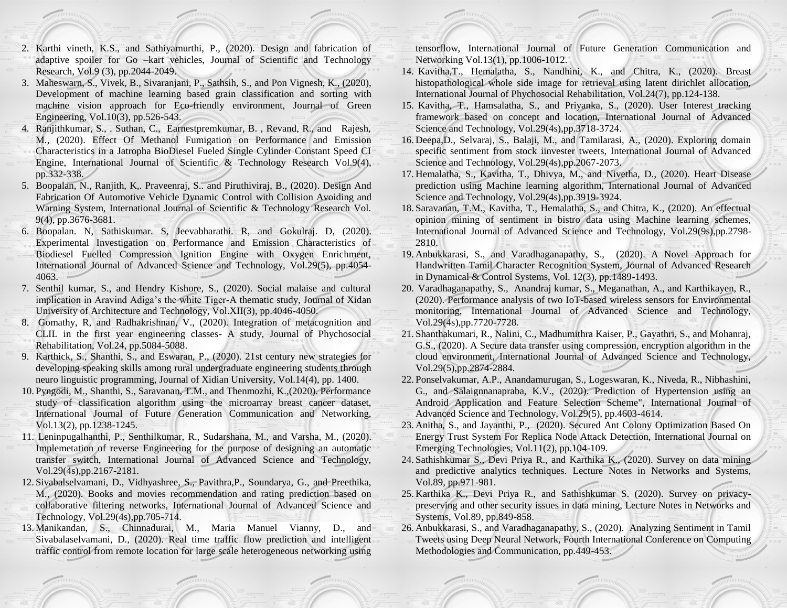- 2. Karthi vineth, K.S., and Sathiyamurthi, P., (2020). Design and fabrication of adaptive spoiler for Go –kart vehicles, Journal of Scientific and Technology Research, Vol.9 (3), pp.2044-2049.
- 3. Maheswarn, S., Vivek, B., Sivaranjani, P., Sathsih, S., and Pon Vignesh, K., (2020), Development of machine learning based grain classification and sorting with machine vision approach for Eco-friendly environment, Journal of Green Engineering, Vol.10(3), pp.526-543.
- 4. Ranjithkumar, S., . Suthan, C., Earnestpremkumar, B. , Revand, R., and Rajesh, M., (2020). Effect Of Methanol Fumigation on Performance and Emission Characteristics in a Jatropha BioDiesel Fueled Single Cylinder Constant Speed CI Engine, International Journal of Scientific & Technology Research Vol.9(4), pp.332-338.
- 5. Boopalan, N., Ranjith, K,. Praveenraj, S.. and Piruthiviraj, B., (2020). Design And Fabrication Of Automotive Vehicle Dynamic Control with Collision Avoiding and Warning System, International Journal of Scientific & Technology Research Vol. 9(4), pp.3676-3681.
- 6. Boopalan. N, Sathiskumar. S, Jeevabharathi. R, and Gokulraj. D, (2020). Experimental Investigation on Performance and Emission Characteristics of Biodiesel Fuelled Compression Ignition Engine with Oxygen Enrichment, International Journal of Advanced Science and Technology, Vol.29(5), pp.4054- 4063.
- 7. Senthil kumar, S., and Hendry Kishore, S., (2020). Social malaise and cultural implication in Aravind Adiga's the white Tiger-A thematic study, Journal of Xidan University of Architecture and Technology, Vol.XII(3), pp.4046-4050.
- 8. Gomathy, R, and Radhakrishnan, V., (2020). Integration of metacognition and CLIL in the first year engineering classes- A study, Journal of Phychosocial Rehabilitation, Vol.24, pp.5084-5088.
- 9. Karthick, S., Shanthi, S., and Eswaran, P., (2020). 21st century new strategies for developing speaking skills among rural undergraduate engineering students through neuro linguistic programming, Journal of Xidian University, Vol.14(4), pp. 1400.
- 10. Pyngodi, M., Shanthi, S., Saravanan, T.M., and Thenmozhi, K.,(2020). Performance study of classification algorithm using the microarray breast cancer dataset, International Journal of Future Generation Communication and Networking, Vol.13(2), pp.1238-1245.
- 11. Leninpugalhanthi, P., Senthilkumar, R., Sudarshana, M., and Varsha, M., (2020). Implemetation of reverse Engineering for the purpose of designing an automatic transfer switch, International Journal of Advanced Science and Technology, Vol.29(4s),pp.2167-2181.
- 12. Sivabalselvamani, D., Vidhyashree, S., Pavithra,P., Soundarya, G., and Preethika, M., (2020). Books and movies recommendation and rating prediction based on collaborative filtering networks, International Journal of Advanced Science and Technology, Vol.29(4s),pp.705-714.
- 13. Manikandan, S., Chinnadurai, M., Maria Manuel Vianny, D., and Sivabalaselvamani, D., (2020). Real time traffic flow prediction and intelligent traffic control from remote location for large scale heterogeneous networking using

tensorflow, International Journal of Future Generation Communication and Networking Vol.13(1), pp.1006-1012.

- 14. Kavitha,T., Hemalatha, S., Nandhini, K., and Chitra, K., (2020). Breast histopathological whole side image for retrieval using latent dirichlet allocation, International Journal of Phychosocial Rehabilitation, Vol.24(7), pp.124-138.
- 15. Kavitha, T., Hamsalatha, S., and Priyanka, S., (2020). User Interest tracking framework based on concept and location, International Journal of Advanced Science and Technology, Vol.29(4s),pp.3718-3724.
- 16. Deepa,D., Selvaraj, S., Balaji, M., and Tamilarasi, A., (2020). Exploring domain specific sentiment from stock iinvester tweets, International Journal of Advanced Science and Technology, Vol.29(4s),pp.2067-2073.
- 17. Hemalatha, S., Kavitha, T., Dhivya, M., and Nivetha, D., (2020). Heart Disease prediction using Machine learning algorithm, International Journal of Advanced Science and Technology, Vol.29(4s),pp.3919-3924.
- 18. Saravanan, T.M., Kavitha, T., Hemalatha, S., and Chitra, K., (2020). An effectual opinion mining of sentiment in bistro data using Machine learning schemes, International Journal of Advanced Science and Technology, Vol.29(9s),pp.2798- 2810.
- 19. Anbukkarasi, S., and Varadhaganapathy, S., (2020). A Novel Approach for Handwritten Tamil Character Recognition System, Journal of Advanced Research in Dynamical & Control Systems, Vol. 12(3), pp.1489-1493.
- 20. Varadhaganapathy, S., Anandraj kumar, S., Meganathan, A., and Karthikayen, R., (2020). Performance analysis of two IoT-based wireless sensors for Environmental monitoring, International Journal of Advanced Science and Technology, Vol.29(4s),pp.7720-7728.
- 21. Shanthakumari, R., Nalini, C., Madhumithra Kaiser, P., Gayathri, S., and Mohanraj, G.S., (2020). A Secure data transfer using compression, encryption algorithm in the cloud environment, International Journal of Advanced Science and Technology, Vol.29(5),pp.2874-2884.
- 22. Ponselvakumar, A.P., Anandamurugan, S., Logeswaran, K., Niveda, R., Nibhashini, G., and Salaignnanapraba, K.V., (2020). Prediction of Hypertension using an Android Application and Feature Selection Scheme", International Journal of Advanced Science and Technology, Vol.29(5), pp.4603-4614.
- 23. Anitha, S., and Jayanthi, P., (2020). Secured Ant Colony Optimization Based On Energy Trust System For Replica Node Attack Detection, International Journal on Emerging Technologies, Vol.11(2), pp.104-109.
- 24. Sathishkumar S., Devi Priya R., and Karthika K., (2020). Survey on data mining and predictive analytics techniques. Lecture Notes in Networks and Systems, Vol.89, pp.971-981.
- 25. Karthika K., Devi Priya R., and Sathishkumar S. (2020). Survey on privacypreserving and other security issues in data mining, Lecture Notes in Networks and Systems, Vol.89, pp.849-858.
- 26. Anbukkarasi, S., and Varadhaganapathy, S., (2020). Analyzing Sentiment in Tamil Tweets using Deep Neural Network, Fourth International Conference on Computing Methodologies and Communication, pp.449-453.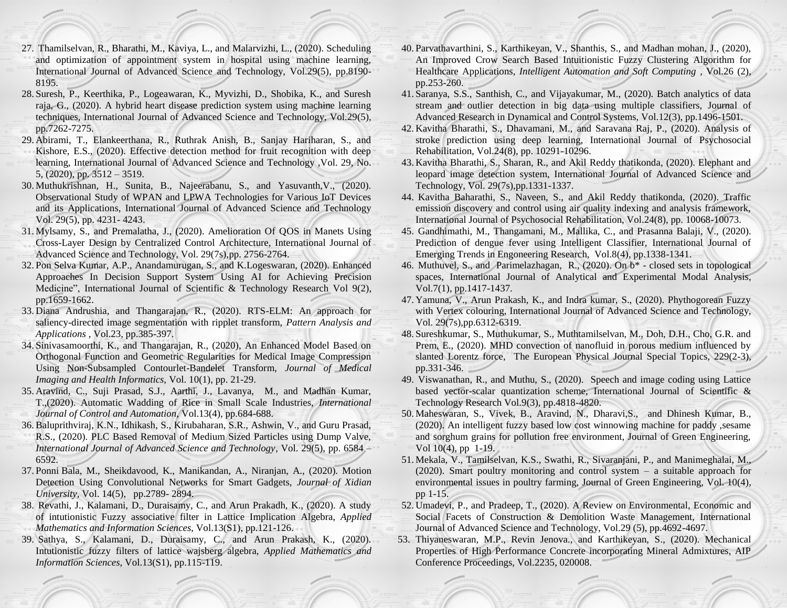- 27. Thamilselvan, R., Bharathi, M., Kaviya, L., and Malarvizhi, L., (2020). Scheduling and optimization of appointment system in hospital using machine learning, International Journal of Advanced Science and Technology, Vol.29(5), pp.8190- 8195.
- 28. Suresh, P., Keerthika, P., Logeawaran, K., Myvizhi, D., Shobika, K., and Suresh raja, G., (2020). A hybrid heart disease prediction system using machine learning techniques, International Journal of Advanced Science and Technology, Vol.29(5), pp.7262-7275.
- 29. Abirami, T., Elankeerthana, R., Ruthrak Anish, B., Sanjay Hariharan, S., and Kishore, E.S., (2020). Effective detection method for fruit recognition with deep learning, International Journal of Advanced Science and Technology ,Vol. 29, No. 5, (2020), pp. 3512 – 3519.
- 30. Muthukrishnan, H., Sunita, B., Najeerabanu, S., and Yasuvanth,V., (2020). Observational Study of WPAN and LPWA Technologies for Various IoT Devices and its Applications, International Journal of Advanced Science and Technology Vol. 29(5), pp. 4231- 4243.
- 31. Mylsamy, S., and Premalatha, J., (2020). Amelioration Of QOS in Manets Using Cross-Layer Design by Centralized Control Architecture, International Journal of Advanced Science and Technology, Vol. 29(7s),pp. 2756-2764.
- 32. Pon Selva Kumar, A.P., Anandamurugan, S., and K.Logeswaran, (2020). Enhanced Approaches In Decision Support System Using AI for Achieving Precision Medicine", International Journal of Scientific & Technology Research Vol 9(2), pp.1659-1662.
- 33. Diana Andrushia, and Thangarajan, R., (2020). RTS-ELM: An approach for saliency-directed image segmentation with ripplet transform, *[Pattern Analysis and](https://link.springer.com/journal/10044)  [Applications](https://link.springer.com/journal/10044)* , Vol.23, pp.385-397.
- 34. Sinivasamoorthi, K., and Thangarajan, R., (2020), An Enhanced Model Based on Orthogonal Function and Geometric Regularities for Medical Image Compression Using Non-Subsampled Contourlet-Bandelet Transform, *Journal of Medical Imaging and Health Informatics,* Vol. 10(1), pp. 21-29.
- 35. Aravind, C., Suji Prasad, S.J., Aarthi, J., Lavanya, M., and Madhan Kumar, T.,(2020). Automatic Wadding of Rice in Small Scale Industries, *International Journal of Control and Automation*, Vol.13(4), pp.684-688.
- 36.Baluprithviraj, K.N., Idhikash, S., Kirubaharan, S.R., Ashwin, V., and Guru Prasad, R.S., (2020). PLC Based Removal of Medium Sized Particles using Dump Valve, *International Journal of Advanced Science and Technology*, Vol. 29(5), pp. 6584 – 6592.
- 37. Ponni Bala, M., Sheikdavood, K., Manikandan, A., Niranjan, A., (2020). Motion Detection Using Convolutional Networks for Smart Gadgets, *Journal of Xidian University,* Vol. 14(5), pp.2789- 2894.
- 38. Revathi, J., Kalamani, D., Duraisamy, C., and Arun Prakadh, K., (2020). A study of intutionistic Fuzzy associative filter in Lattice Implication Algebra, *Applied Mathematics and Information Sciences*, Vol.13(S1), pp.121-126.
- 39. Sathya, S., Kalamani, D., Duraisamy, C., and Arun Prakash, K., (2020). Intutionistic fuzzy filters of lattice wajsberg algebra, *Applied Mathematics and Information Sciences*, Vol.13(S1), pp.115-119.
- 40. Parvathavarthini, S., Karthikeyan, V., Shanthis, S., and Madhan mohan, J., (2020), [An Improved Crow Search Based Intuitionistic Fuzzy Clustering Algorithm](javascript:void(0)) for [Healthcare Applications,](javascript:void(0)) *Intelligent Automation and Soft Computing* , Vol.26 (2), pp.253-260.
- 41. Saranya, S.S., Santhish, C., and Vijayakumar, M., (2020). Batch analytics of data stream and outlier detection in big data using multiple classifiers, Journal of Advanced Research in Dynamical and Control Systems, Vol.12(3), pp.1496-1501.
- 42. Kavitha Bharathi, S., Dhavamani, M., and Saravana Raj, P., (2020). Analysis of stroke prediction using deep learning, International Journal of Psychosocial Rehabilitation, Vol.24(8), pp. 10291-10296.
- 43. Kavitha Bharathi, S., Sharan, R., and Akil Reddy thatikonda, (2020). Elephant and leopard image detection system, International Journal of Advanced Science and Technology, Vol. 29(7s),pp.1331-1337.
- 44. Kavitha Baharathi, S., Naveen, S., and Akil Reddy thatikonda, (2020). Traffic emission discovery and control using air quality indexing and analysis framework, International Journal of Psychosocial Rehabilitation, Vol.24(8), pp. 10068-10073.
- 45. Gandhimathi, M., Thangamani, M., Mallika, C., and Prasanna Balaji, V., (2020). Prediction of dengue fever using Intelligent Classifier, International Journal of Emerging Trends in Engoneering Research, Vol.8(4), pp.1338-1341.
- 46. Muthuvel, S., and Parimelazhagan, R., (2020). On b\* closed sets in topological spaces, International Journal of Analytical and Experimental Modal Analysis, Vol.7(1), pp.1417-1437.
- 47. Yamuna, V., Arun Prakash, K., and Indra kumar, S., (2020). Phythogorean Fuzzy with Vertex colouring, International Journal of Advanced Science and Technology, Vol. 29(7s),pp.6312-6319.
- 48. Sureshkumar, S., Muthukumar, S., Muthtamilselvan, M., Doh, D.H., Cho, G.R. and Prem, E., (2020). MHD convection of nanofluid in porous medium influenced by slanted Lorentz force, The European Physical Journal Special Topics, 229(2-3), pp.331-346.
- 49. Viswanathan, R., and Muthu, S., (2020). Speech and image coding using Lattice based vector-scalar quantization scheme, International Journal of Scientific & Technology Research Vol.9(3), pp.4818-4820.
- 50. Maheswaran, S., Vivek, B., Aravind, N., Dharavi,S., and Dhinesh Kumar, B., (2020). An intelligent fuzzy based low cost winnowing machine for paddy ,sesame and sorghum grains for pollution free environment, Journal of Green Engineering, Vol 10(4), pp 1-19.
- 51. Mekala, V., Tamilselvan, K.S., Swathi, R., Sivaranjani, P., and Manimeghalai, M., (2020). Smart poultry monitoring and control system – a suitable approach for environmental issues in poultry farming, Journal of Green Engineering, Vol. 10(4), pp 1-15.
- 52. Umadevi, P., and Pradeep, T., (2020). A Review on Environmental, Economic and Social Facets of Construction & Demolition Waste Management, International Journal of Advanced Science and Technology, Vol.29 (5), pp.4692-4697.
- 53. Thiyaneswaran, M.P., Revin Jenova., and Karthikeyan, S., (2020). Mechanical Properties of High Performance Concrete incorporating Mineral Admixtures, AIP Conference Proceedings, Vol.2235, 020008.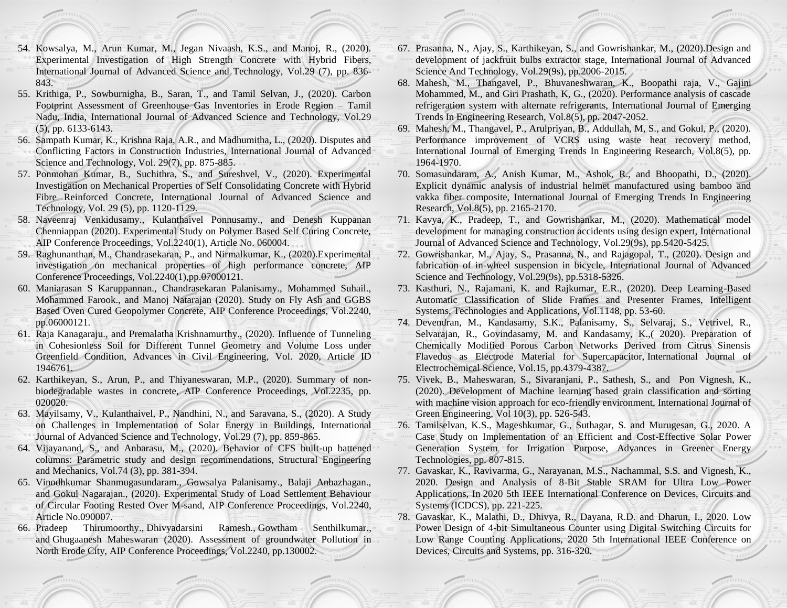- 54. Kowsalya, M., Arun Kumar, M., Jegan Nivaash, K.S., and Manoj, R., (2020). Experimental Investigation of High Strength Concrete with Hybrid Fibers, International Journal of Advanced Science and Technology, Vol.29 (7), pp. 836- 843.
- 55. Krithiga, P., Sowburnigha, B., Saran, T., and Tamil Selvan, J., (2020). Carbon Footprint Assessment of Greenhouse Gas Inventories in Erode Region – Tamil Nadu, India, International Journal of Advanced Science and Technology, Vol.29 (5), pp. 6133-6143.
- 56. Sampath Kumar, K., Krishna Raja, A.R., and Madhumitha, L., (2020). Disputes and Conflicting Factors in Construction Industries, International Journal of Advanced Science and Technology, Vol. 29(7), pp. 875-885.
- 57. Ponmohan Kumar, B., Suchithra, S., and Sureshvel, V., (2020). Experimental Investigation on Mechanical Properties of Self Consolidating Concrete with Hybrid Fibre Reinforced Concrete, International Journal of Advanced Science and Technology, Vol. 29 (5), pp. 1120-1129.
- 58. Naveenraj Venkidusamy., Kulanthaivel Ponnusamy., and Denesh Kuppanan Chenniappan (2020). Experimental Study on Polymer Based Self Curing Concrete, AIP Conference Proceedings, Vol.2240(1), Article No. 060004.
- 59. Raghunanthan, M., Chandrasekaran, P., and Nirmalkumar, K., (2020).Experimental investigation on mechanical properties of high performance concrete, AIP Conference Proceedings, Vol.2240(1),pp.07000121.
- 60. Maniarasan S Karuppannan., Chandrasekaran Palanisamy., Mohammed Suhail., Mohammed Farook., and Manoj Natarajan (2020). Study on Fly Ash and GGBS Based Oven Cured Geopolymer Concrete, AIP Conference Proceedings, Vol.2240, pp.06000121.
- 61. Raja Kanagaraju., and Premalatha Krishnamurthy., (2020). Influence of Tunneling in Cohesionless Soil for Different Tunnel Geometry and Volume Loss under Greenfield Condition, Advances in Civil Engineering, Vol. 2020, Article ID 1946761.
- 62. Karthikeyan, S., Arun, P., and Thiyaneswaran, M.P., (2020). Summary of nonbiodegradable wastes in concrete, AIP Conference Proceedings, Vol.2235, pp. 020020.
- 63. Mayilsamy, V., Kulanthaivel, P., Nandhini, N., and Saravana, S., (2020). A Study on Challenges in Implementation of Solar Energy in Buildings, International Journal of Advanced Science and Technology, Vol.29 (7), pp. 859-865.
- 64. Vijayanand, S., and Anbarasu, M., (2020). Behavior of CFS built-up battened columns: Parametric study and design recommendations, Structural Engineering and Mechanics, Vol.74 (3), pp. 381-394.
- 65. Vinodhkumar Shanmugasundaram., Gowsalya Palanisamy., Balaji Anbazhagan., and Gokul Nagarajan., (2020). Experimental Study of Load Settlement Behaviour of Circular Footing Rested Over M-sand, AIP Conference Proceedings, Vol.2240, Article No.090007.
- 66. [Pradeep Thirumoorthy.](https://aip.scitation.org/author/Thirumoorthy%2C+Pradeep), [Dhivyadarsini Ramesh.](https://aip.scitation.org/author/Ramesh%2C+Dhivyadarsini), [Gowtham Senthilkumar.](https://aip.scitation.org/author/Senthilkumar%2C+Gowtham), and [Ghugaanesh Maheswaran](https://aip.scitation.org/author/Maheswaran%2C+Ghugaanesh) (2020). Assessment of groundwater Pollution in North Erode City, AIP Conference Proceedings, Vol.2240, pp.130002.
- 67. Prasanna, N., Ajay, S., Karthikeyan, S., and Gowrishankar, M., (2020).Design and development of jackfruit bulbs extractor stage, International Journal of Advanced Science And Technology, Vol.29(9s), pp.2006-2015.
- 68. Mahesh, M., Thangavel, P., Bhuvaneshwaran, K., Boopathi raja, V., Gajini Mohammed, M., and Giri Prashath, K, G., (2020). Performance analysis of cascade refrigeration system with alternate refrigerants, International Journal of Emerging Trends In Engineering Research, Vol.8(5), pp. 2047-2052.
- 69. Mahesh, M., Thangavel, P., Arulpriyan, B., Addullah, M, S., and Gokul, P., (2020). Performance improvement of VCRS using waste heat recovery method, International Journal of Emerging Trends In Engineering Research, Vol.8(5), pp. 1964-1970.
- 70. Somasundaram, A., Anish Kumar, M., Ashok, R., and Bhoopathi, D., (2020). Explicit dynamic analysis of industrial helmet manufactured using bamboo and vakka fiber composite, International Journal of Emerging Trends In Engineering Research, Vol.8(5), pp. 2165-2170.
- 71. Kavya, K., Pradeep, T., and Gowrishankar, M., (2020). Mathematical model development for managing construction accidents using design expert, International Journal of Advanced Science and Technology, Vol.29(9s), pp.5420-5425.
- 72. Gowrishankar, M., Ajay, S., Prasanna, N., and Rajagopal, T., (2020). Design and fabrication of in-wheel suspension in bicycle, International Journal of Advanced Science and Technology, Vol.29(9s), pp.5318-5326.
- 73. Kasthuri, N., Rajamani, K. and Rajkumar, E.R., (2020). Deep Learning-Based Automatic Classification of Slide Frames and Presenter Frames, Intelligent Systems, Technologies and Applications, Vol.1148, pp. 53-60.
- 74. Devendran, M., Kandasamy, S.K., Palanisamy, S., Selvaraj, S., Vetrivel, R., Selvarajan, R., Govindasamy, M. and Kandasamy, K.,( 2020). Preparation of Chemically Modified Porous Carbon Networks Derived from Citrus Sinensis Flavedos as Electrode Material for Supercapacitor, International Journal of Electrochemical Science, Vol.15, pp.4379-4387.
- 75. Vivek, B., Maheswaran, S., Sivaranjani, P., Sathesh, S., and Pon Vignesh, K., (2020). Development of Machine learning based grain classification and sorting with machine vision approach for eco-friendly environment, International Journal of Green Engineering, Vol 10(3), pp. 526-543.
- 76. Tamilselvan, K.S., Mageshkumar, G., Suthagar, S. and Murugesan, G., 2020. A Case Study on Implementation of an Efficient and Cost-Effective Solar Power Generation System for Irrigation Purpose, Advances in Greener Energy Technologies, pp. 807-815.
- 77. Gavaskar, K., Ravivarma, G., Narayanan, M.S., Nachammal, S.S. and Vignesh, K., 2020. Design and Analysis of 8-Bit Stable SRAM for Ultra Low Power Applications, In 2020 5th IEEE International Conference on Devices, Circuits and Systems (ICDCS), pp. 221-225.
- 78. Gavaskar, K., Malathi, D., Dhivya, R., Dayana, R.D. and Dharun, I., 2020. Low Power Design of 4-bit Simultaneous Counter using Digital Switching Circuits for Low Range Counting Applications, 2020 5th International IEEE Conference on Devices, Circuits and Systems, pp. 316-320.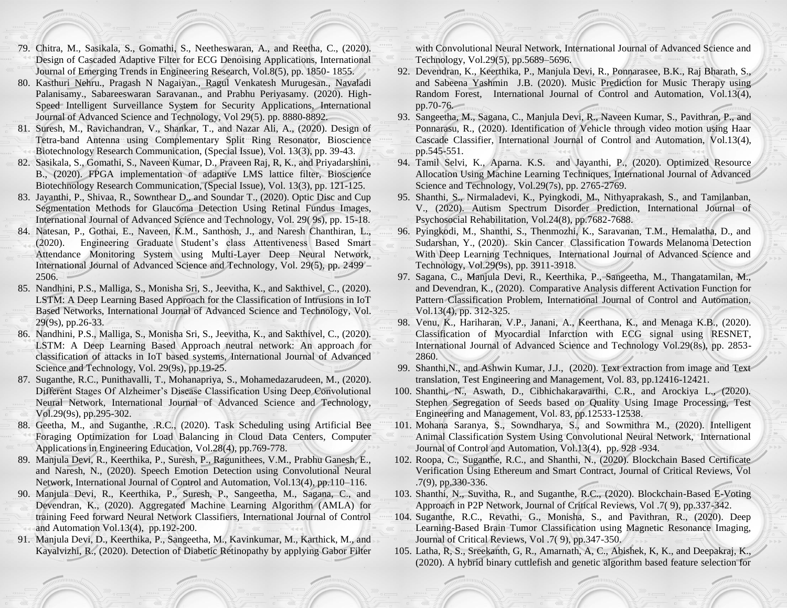- 79. Chitra, M., Sasikala, S., Gomathi, S., Neetheswaran, A., and Reetha, C., (2020). Design of Cascaded Adaptive Filter for ECG Denoising Applications, International Journal of Emerging Trends in Engineering Research, Vol.8(5), pp. 1850- 1855.
- 80. Kasthuri Nehru., Pragash N Nagaiyan., Ragul Venkatesh Murugesan., Navaladi Palanisamy., Sabareeswaran Saravanan., and Prabhu Periyasamy. (2020). High-Speed Intelligent Surveillance System for Security Applications, International Journal of Advanced Science and Technology, Vol 29(5). pp. 8880-8892.
- 81. Suresh, M., Ravichandran, V., Shankar, T., and Nazar Ali, A., (2020). Design of Tetra-band Antenna using Complementary Split Ring Resonator, Bioscience Biotechnology Research Communication, (Special Issue), Vol. 13(3), pp. 39-43.
- 82. Sasikala, S., Gomathi, S., Naveen Kumar, D., Praveen Raj, R, K., and Priyadarshini, B., (2020). FPGA implementation of adaptive LMS lattice filter, Bioscience Biotechnology Research Communication, (Special Issue), Vol. 13(3), pp. 121-125.
- 83. Jayanthi, P., Shivaa, R., Sownthear D., and Soundar T., (2020). Optic Disc and Cup Segmentation Methods for Glaucoma Detection Using Retinal Fundus Images, International Journal of Advanced Science and Technology, Vol. 29( 9s), pp. 15-18.
- 84. Natesan, P., Gothai, E., Naveen, K.M., Santhosh, J., and Naresh Chanthiran, L., (2020). Engineering Graduate Student's class Attentiveness Based Smart Attendance Monitoring System using Multi-Layer Deep Neural Network, International Journal of Advanced Science and Technology, Vol. 29(5), pp. 2499 – 2506.
- 85. Nandhini, P.S., Malliga, S., Monisha Sri, S., Jeevitha, K., and Sakthivel, C., (2020). LSTM: A Deep Learning Based Approach for the Classification of Intrusions in IoT Based Networks, International Journal of Advanced Science and Technology, [Vol.](http://sersc.org/journals/index.php/IJAST/issue/view/282)  [29\(9s\), pp.26-33.](http://sersc.org/journals/index.php/IJAST/issue/view/282)
- 86. Nandhini, P.S., Malliga, S., Monisha Sri, S., Jeevitha, K., and Sakthivel, C., (2020). LSTM: A Deep Learning Based Approach neutral network: An approach for classification of attacks in IoT based systems, International Journal of Advanced Science and Technology, [Vol. 29\(9s\), pp.19-25.](http://sersc.org/journals/index.php/IJAST/issue/view/282)
- 87. Suganthe, R.C., Punithavalli, T., Mohanapriya, S., Mohamedazarudeen, M., (2020). Different Stages Of Alzheimer's Disease Classification Using Deep Convolutional Neural Network, International Journal of Advanced Science and Technology, Vol.29(9s), pp.295-302.
- 88. Geetha, M., and Suganthe, .R.C., (2020). Task Scheduling using Artificial Bee Foraging Optimization for Load Balancing in Cloud Data Centers, Computer Applications in Engineering Education, Vol.28(4), pp.769-778.
- 89. Manjula Devi, R., Keerthika, P., Suresh, P., Ragunithees, V.M., Prabhu Ganesh, E., and Naresh, N., (2020). Speech Emotion Detection using Convolutional Neural Network, International Journal of Control and Automation, Vol.13(4), pp.110–116.
- 90. Manjula Devi, R., Keerthika, P., Suresh, P., Sangeetha, M., Sagana, C., and Devendran, K., (2020). Aggregated Machine Learning Algorithm (AMLA) for training Feed forward Neural Network Classifiers, International Journal of Control and Automation Vol.13(4), pp.192-200.
- 91. Manjula Devi, D., Keerthika, P., Sangeetha, M., Kavinkumar, M., Karthick, M., and Kayalvizhi, R., (2020). Detection of Diabetic Retinopathy by applying Gabor Filter

with Convolutional Neural Network, International Journal of Advanced Science and Technology, Vol.29(5), pp.5689–5696.

- 92. Devendran, K., Keerthika, P., Manjula Devi, R., Ponnarasee, B.K., Raj Bharath, S., and Sabeena Yashmin J.B. (2020). Music Prediction for Music Therapy using Random Forest, International Journal of Control and Automation, Vol.13(4), pp.70-76.
- 93. Sangeetha, M., Sagana, C., Manjula Devi, R., Naveen Kumar, S., Pavithran, P., and Ponnarasu, R., (2020). Identification of Vehicle through video motion using Haar Cascade Classifier, International Journal of Control and Automation, Vol.13(4), pp.545-551.
- 94. Tamil Selvi, K., Aparna. K.S. and Jayanthi, P., (2020). Optimized Resource Allocation Using Machine Learning Techniques, International Journal of Advanced Science and Technology, Vol.29(7s), pp. 2765-2769.
- 95. Shanthi, S., Nirmaladevi, K., Pyingkodi, M., Nithyaprakash, S., and Tamilanban, V., (2020). Autism Spectrum Disorder Prediction, International Journal of Psychosocial Rehabilitation, Vol.24(8), pp.7682-7688.
- 96. Pyingkodi, M., Shanthi, S., Thenmozhi, K., Saravanan, T.M., Hemalatha, D., and Sudarshan, Y., (2020). Skin Cancer Classification Towards Melanoma Detection With Deep Learning Techniques, International Journal of Advanced Science and Technology, Vol.29(9s), pp. 3911-3918.
- 97. Sagana, C., Manjula Devi, R., Keerthika, P., Sangeetha, M., Thangatamilan, M., and Devendran, K., (2020). Comparative Analysis different Activation Function for Pattern Classification Problem, International Journal of Control and Automation, Vol.13(4), pp. 312-325.
- 98. Venu, K., Hariharan, V.P., Janani, A., Keerthana, K., and Menaga K.B., (2020). Classification of Myocardial Infarction with ECG signal using RESNET, International Journal of Advanced Science and Technology Vol.29(8s), pp. 2853- 2860.
- 99. Shanthi,N., and Ashwin Kumar, J.J., (2020). Text extraction from image and Text translation, Test Engineering and Management, Vol. 83, pp.12416-12421.
- 100. Shanthi, N., Aswath, D., Cibhichakaravarthi, C.R., and Arockiya L., (2020). Stephen Segregation of Seeds based on Quality Using Image Processing, Test Engineering and Management, Vol. 83, pp.12533-12538.
- 101. Mohana Saranya, S., Sowndharya, S., and Sowmithra M., (2020). Intelligent Animal Classification System Using Convolutional Neural Network, International Journal of Control and Automation, Vol.13(4), pp. 928 -934.
- 102. Roopa, C., Suganthe, R.C., and Shanthi, N., (2020). Blockchain Based Certificate Verification Using Ethereum and Smart Contract, Journal of Critical Reviews, Vol .7(9), pp.330-336.
- 103. Shanthi, N., Suvitha, R., and Suganthe, R.C., (2020). Blockchain-Based E-Voting Approach in P2P Network, Journal of Critical Reviews, Vol .7( 9), pp.337-342.
- 104. Suganthe, R.C., Revathi, G., Monisha, S., and Pavithran, R., (2020). Deep Learning-Based Brain Tumor Classification using Magnetic Resonance Imaging, Journal of Critical Reviews, Vol .7( 9), pp.347-350.
- 105. Latha, R, S., Sreekanth, G, R., Amarnath, A, C., Abishek, K, K., and Deepakraj, K., (2020). A hybrid binary cuttlefish and genetic algorithm based feature selection for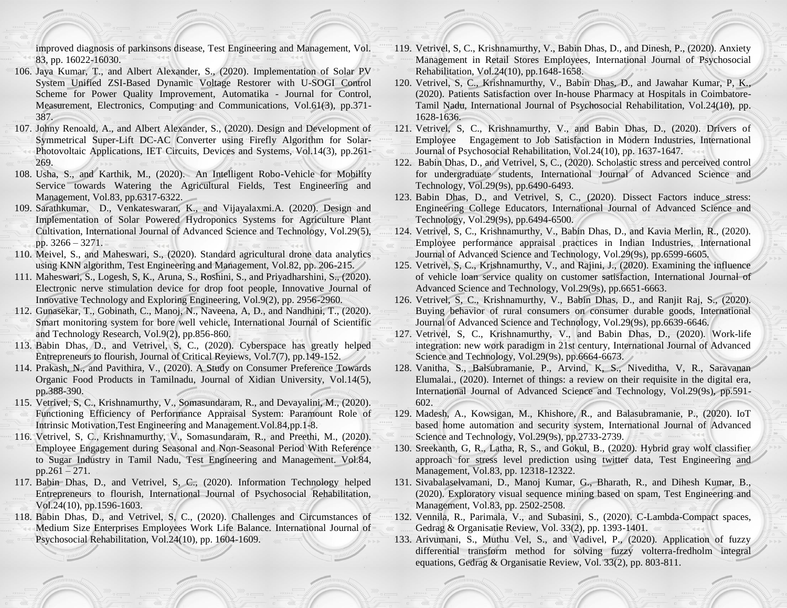improved diagnosis of parkinsons disease, Test Engineering and Management, Vol. 83, pp. 16022-16030.

- 106. Jaya Kumar, T., and Albert Alexander, S., (2020). [Implementation of Solar PV](http://url310.tandfonline.com/ls/click?upn=odl8Fji2pFaByYDqV3bjGMQo8st9of2228V6AcSFNq3t86qU90pAx-2BEad4OTI0D6EtmxOjbg7-2FVjsekS6BvoPPQW7cz1UklIdCqm-2BgU-2BDg4-3DXFeZ_HWIZ251xdMsMbA7-2B0tbKop4RktU3ARfQzeiKTQ9Euall0ATDWUv8yUvKL53JWDempFiR83nQ8G6VP3p-2BCAJpgm-2FXZWbVeHGhlgQG7R9wcUZmP9lBawLu0siZBk5z-2F1urCdZeTBKtMwNSdgaYnsDkHLsKySdJtKWs9eQNAgDCavW5EdhcxRKG4VWM7xJ15VQ-2BzRnfM5ymntNIv4pza2H3RN809n6LA4VT7xYt9Nfi1kt0pWPPK6PTTy11h3ADqFcZ4DfJhrdTM-2F4sur-2FuQ-2BECNKg5jv0PDEjEWYGo3S9ofd4-3D)  [System Unified ZSI-Based Dynamic Voltage Restorer with U-SOGI Control](http://url310.tandfonline.com/ls/click?upn=odl8Fji2pFaByYDqV3bjGMQo8st9of2228V6AcSFNq3t86qU90pAx-2BEad4OTI0D6EtmxOjbg7-2FVjsekS6BvoPPQW7cz1UklIdCqm-2BgU-2BDg4-3DXFeZ_HWIZ251xdMsMbA7-2B0tbKop4RktU3ARfQzeiKTQ9Euall0ATDWUv8yUvKL53JWDempFiR83nQ8G6VP3p-2BCAJpgm-2FXZWbVeHGhlgQG7R9wcUZmP9lBawLu0siZBk5z-2F1urCdZeTBKtMwNSdgaYnsDkHLsKySdJtKWs9eQNAgDCavW5EdhcxRKG4VWM7xJ15VQ-2BzRnfM5ymntNIv4pza2H3RN809n6LA4VT7xYt9Nfi1kt0pWPPK6PTTy11h3ADqFcZ4DfJhrdTM-2F4sur-2FuQ-2BECNKg5jv0PDEjEWYGo3S9ofd4-3D)  [Scheme for Power Quality Improvement,](http://url310.tandfonline.com/ls/click?upn=odl8Fji2pFaByYDqV3bjGMQo8st9of2228V6AcSFNq3t86qU90pAx-2BEad4OTI0D6EtmxOjbg7-2FVjsekS6BvoPPQW7cz1UklIdCqm-2BgU-2BDg4-3DXFeZ_HWIZ251xdMsMbA7-2B0tbKop4RktU3ARfQzeiKTQ9Euall0ATDWUv8yUvKL53JWDempFiR83nQ8G6VP3p-2BCAJpgm-2FXZWbVeHGhlgQG7R9wcUZmP9lBawLu0siZBk5z-2F1urCdZeTBKtMwNSdgaYnsDkHLsKySdJtKWs9eQNAgDCavW5EdhcxRKG4VWM7xJ15VQ-2BzRnfM5ymntNIv4pza2H3RN809n6LA4VT7xYt9Nfi1kt0pWPPK6PTTy11h3ADqFcZ4DfJhrdTM-2F4sur-2FuQ-2BECNKg5jv0PDEjEWYGo3S9ofd4-3D) [Automatika -](https://www.tandfonline.com/toc/taut20/current) Journal for Control, Measurement, Electronics, Computing and Communications, Vol.61(3), pp.371- 387.
- 107. Johny Renoald, A., and Albert Alexander, S., (2020). Design and Development of Symmetrical Super-Lift DC-AC Converter using Firefly Algorithm for Solar-Photovoltaic Applications, IET Circuits, Devices and Systems, Vol.14(3), pp.261- 269.
- 108. Usha, S., and Karthik, M., (2020). An Intelligent Robo-Vehicle for Mobility Service towards Watering the Agricultural Fields, Test Engineering and Management, Vol.83, pp.6317-6322.
- 109. Sarathkumar, D., Venkateswaran, K., and Vijayalaxmi.A. (2020). Design and Implementation of Solar Powered Hydroponics Systems for Agriculture Plant Cultivation, International Journal of Advanced Science and Technology, Vol.29(5), pp. 3266 – 3271.
- 110. Meivel, S., and Maheswari, S., (2020). Standard agricultural drone data analytics using KNN algorithm, Test Engineering and Management, Vol.82, pp. 206-215.
- 111. Maheswari, S., Logesh, S, K., Aruna, S., Roshini, S., and Priyadharshini, S., (2020). Electronic nerve stimulation device for drop foot people, Innovative Journal of Innovative Technology and Exploring Engineering, Vol.9(2), pp. 2956-2960.
- 112. Gunasekar, T., Gobinath, C., Manoj, N., Naveena, A, D., and Nandhini, T., (2020). Smart monitoring system for bore well vehicle, International Journal of Scientific and Technology Research, Vol.9(2), pp.856-860.
- 113. Babin Dhas, D., and Vetrivel, S, C., (2020). Cyberspace has greatly helped Entrepreneurs to flourish, Journal of Critical Reviews, Vol.7(7), pp.149-152.
- 114. Prakash, N., and Pavithira, V., (2020). A Study on Consumer Preference Towards Organic Food Products in Tamilnadu, Journal of Xidian University, Vol.14(5), pp.388-390.
- 115. Vetrivel, S, C., Krishnamurthy, V., Somasundaram, R., and Devayalini, M., (2020). Functioning Efficiency of Performance Appraisal System: Paramount Role of Intrinsic Motivation,Test Engineering and Management.Vol.84,pp.1-8.
- 116. Vetrivel, S, C., Krishnamurthy, V., Somasundaram, R., and Preethi, M., (2020). Employee Engagement during Seasonal and Non-Seasonal Period With Reference to Sugar Industry in Tamil Nadu, Test Engineering and Management. Vol.84, pp.261 – 271.
- 117. Babin Dhas, D., and Vetrivel, S, C., (2020). Information Technology helped Entrepreneurs to flourish, International Journal of Psychosocial Rehabilitation, Vol.24(10), pp.1596-1603.
- 118. Babin Dhas, D., and Vetrivel, S, C., (2020). Challenges and Circumstances of Medium Size Enterprises Employees Work Life Balance. International Journal of Psychosocial Rehabilitation, Vol.24(10), pp. 1604-1609.
- 119. Vetrivel, S, C., Krishnamurthy, V., Babin Dhas, D., and Dinesh, P., (2020). Anxiety Management in Retail Stores Employees, International Journal of Psychosocial Rehabilitation, Vol.24(10), pp.1648-1658.
- 120. Vetrivel, S, C., Krishnamurthy, V., Babin Dhas, D., and Jawahar Kumar, P, K., (2020). Patients Satisfaction over In-house Pharmacy at Hospitals in Coimbatore-Tamil Nadu, International Journal of Psychosocial Rehabilitation, Vol.24(10), pp. 1628-1636.
- 121. Vetrivel, S, C., Krishnamurthy, V., and Babin Dhas, D., (2020). Drivers of Employee Engagement to Job Satisfaction in Modern Industries, International Journal of Psychosocial Rehabilitation, Vol.24(10), pp. 1637-1647.
- 122. Babin Dhas, D., and Vetrivel, S, C., (2020). Scholastic stress and perceived control for undergraduate students, International Journal of Advanced Science and Technology, Vol.29(9s), pp.6490-6493.
- 123. Babin Dhas, D., and Vetrivel, S, C., (2020). Dissect Factors induce stress: Engineering College Educators, International Journal of Advanced Science and Technology, Vol.29(9s), pp.6494-6500.
- 124. Vetrivel, S, C., Krishnamurthy, V., Babin Dhas, D., and Kavia Merlin, R., (2020). Employee performance appraisal practices in Indian Industries, International Journal of Advanced Science and Technology, Vol.29(9s), pp.6599-6605.
- 125. Vetrivel, S, C., Krishnamurthy, V., and Rajini, J., (2020). Examining the influence of vehicle loan service quality on customer satisfaction, International Journal of Advanced Science and Technology, Vol.29(9s), pp.6651-6663.
- 126. Vetrivel, S, C., Krishnamurthy, V., Babin Dhas, D., and Ranjit Raj, S., (2020). Buying behavior of rural consumers on consumer durable goods, International Journal of Advanced Science and Technology, Vol.29(9s), pp.6639-6646.
- 127. Vetrivel, S, C., Krishnamurthy, V., and Babin Dhas, D., (2020). Work-life integration: new work paradigm in 21st century, International Journal of Advanced Science and Technology, Vol.29(9s), pp.6664-6673.
- 128. Vanitha, S., Balsubramanie, P., Arvind, K, S., Niveditha, V, R., Saravanan Elumalai., (2020). Internet of things: a review on their requisite in the digital era, International Journal of Advanced Science and Technology, Vol.29(9s), pp.591- 602.
- 129. Madesh, A., Kowsigan, M., Khishore, R., and Balasubramanie, P., (2020). IoT based home automation and security system, International Journal of Advanced Science and Technology, Vol.29(9s), pp.2733-2739.
- 130. Sreekanth, G, R., Latha, R, S., and Gokul, B., (2020). Hybrid gray wolf classifier approach for stress level prediction using twitter data, Test Engineering and Management, Vol.83, pp. 12318-12322.
- 131. Sivabalaselvamani, D., Manoj Kumar, G., Bharath, R., and Dihesh Kumar, B., (2020). Exploratory visual sequence mining based on spam, Test Engineering and Management, Vol.83, pp. 2502-2508.
- 132. Vennila, R., Parimala, V., and Subasini, S., (2020). C-Lambda-Compact spaces, Gedrag & Organisatie Review, Vol. 33(2), pp. 1393-1401.
- 133. Arivumani, S., Muthu Vel, S., and Vadivel, P., (2020). Application of fuzzy differential transform method for solving fuzzy volterra-fredholm integral equations, Gedrag & Organisatie Review, Vol. 33(2), pp. 803-811.